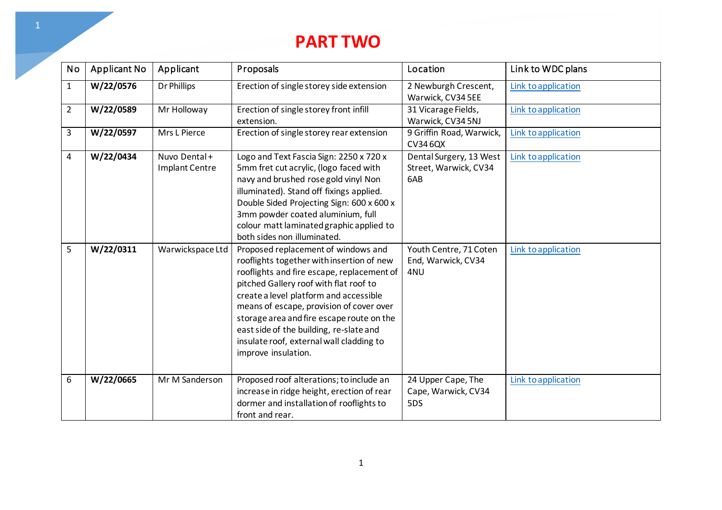## **PART TWO**

| <b>No</b>      | Applicant No | Applicant                             | Proposals                                                                                                                                                                                                                                                                                                                                                                                                                 | Location                                                | Link to WDC plans   |
|----------------|--------------|---------------------------------------|---------------------------------------------------------------------------------------------------------------------------------------------------------------------------------------------------------------------------------------------------------------------------------------------------------------------------------------------------------------------------------------------------------------------------|---------------------------------------------------------|---------------------|
| $\mathbf{1}$   | W/22/0576    | Dr Phillips                           | Erection of single storey side extension                                                                                                                                                                                                                                                                                                                                                                                  | 2 Newburgh Crescent,<br>Warwick, CV34 5EE               | Link to application |
| $\overline{2}$ | W/22/0589    | Mr Holloway                           | Erection of single storey front infill<br>extension.                                                                                                                                                                                                                                                                                                                                                                      | 31 Vicarage Fields,<br>Warwick, CV34 5NJ                | Link to application |
| 3              | W/22/0597    | Mrs L Pierce                          | Erection of single storey rear extension                                                                                                                                                                                                                                                                                                                                                                                  | 9 Griffin Road, Warwick,<br>CV346QX                     | Link to application |
| 4              | W/22/0434    | Nuvo Dental+<br><b>Implant Centre</b> | Logo and Text Fascia Sign: 2250 x 720 x<br>5mm fret cut acrylic, (logo faced with<br>navy and brushed rose gold vinyl Non<br>illuminated). Stand off fixings applied.<br>Double Sided Projecting Sign: 600 x 600 x<br>3mm powder coated aluminium, full<br>colour matt laminated graphic applied to<br>both sides non illuminated.                                                                                        | Dental Surgery, 13 West<br>Street, Warwick, CV34<br>6AB | Link to application |
| 5              | W/22/0311    | Warwickspace Ltd                      | Proposed replacement of windows and<br>rooflights together with insertion of new<br>rooflights and fire escape, replacement of<br>pitched Gallery roof with flat roof to<br>create a level platform and accessible<br>means of escape, provision of cover over<br>storage area and fire escape route on the<br>east side of the building, re-slate and<br>insulate roof, external wall cladding to<br>improve insulation. | Youth Centre, 71 Coten<br>End, Warwick, CV34<br>4NU     | Link to application |
| 6              | W/22/0665    | Mr M Sanderson                        | Proposed roof alterations; to include an<br>increase in ridge height, erection of rear<br>dormer and installation of rooflights to<br>front and rear.                                                                                                                                                                                                                                                                     | 24 Upper Cape, The<br>Cape, Warwick, CV34<br>5DS        | Link to application |